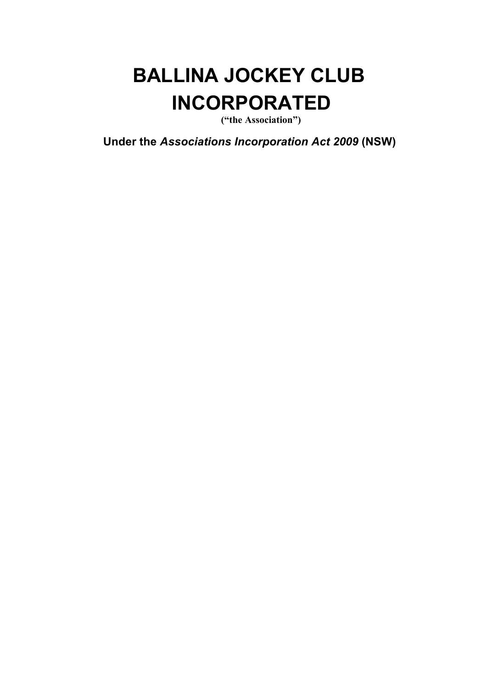# **BALLINA JOCKEY CLUB INCORPORATED**

**("the Association")**

**Under the** *Associations Incorporation Act 2009* **(NSW)**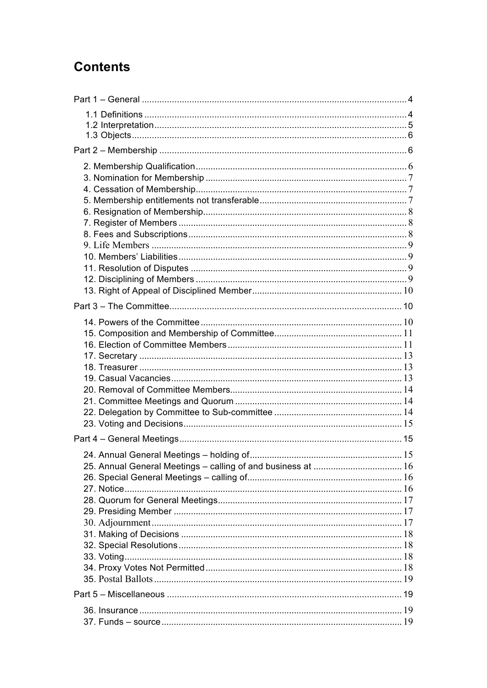# **Contents**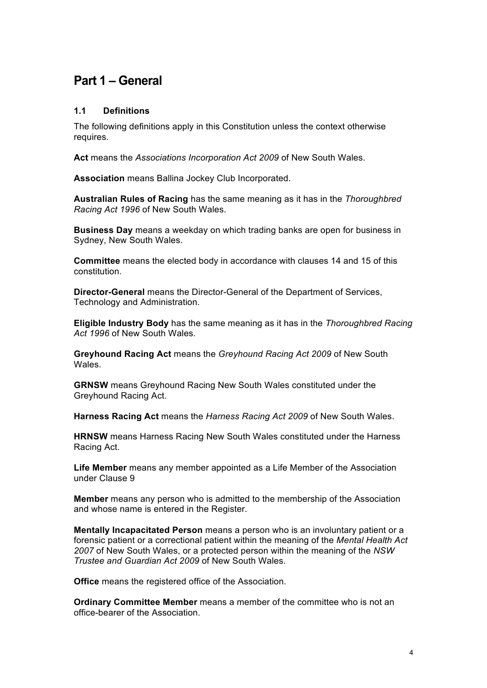# **Part 1 – General**

#### **1.1 Definitions**

The following definitions apply in this Constitution unless the context otherwise requires.

**Act** means the *Associations Incorporation Act 2009* of New South Wales.

**Association** means Ballina Jockey Club Incorporated.

**Australian Rules of Racing** has the same meaning as it has in the *Thoroughbred Racing Act 1996* of New South Wales.

**Business Day** means a weekday on which trading banks are open for business in Sydney, New South Wales.

**Committee** means the elected body in accordance with clauses 14 and 15 of this constitution.

**Director-General** means the Director-General of the Department of Services, Technology and Administration.

**Eligible Industry Body** has the same meaning as it has in the *Thoroughbred Racing Act 1996* of New South Wales.

**Greyhound Racing Act** means the *Greyhound Racing Act 2009* of New South **Wales** 

**GRNSW** means Greyhound Racing New South Wales constituted under the Greyhound Racing Act.

**Harness Racing Act** means the *Harness Racing Act 2009* of New South Wales.

**HRNSW** means Harness Racing New South Wales constituted under the Harness Racing Act.

**Life Member** means any member appointed as a Life Member of the Association under Clause 9

**Member** means any person who is admitted to the membership of the Association and whose name is entered in the Register.

**Mentally Incapacitated Person** means a person who is an involuntary patient or a forensic patient or a correctional patient within the meaning of the *Mental Health Act 2007* of New South Wales, or a protected person within the meaning of the *NSW Trustee and Guardian Act 2009* of New South Wales.

**Office** means the registered office of the Association.

**Ordinary Committee Member** means a member of the committee who is not an office-bearer of the Association.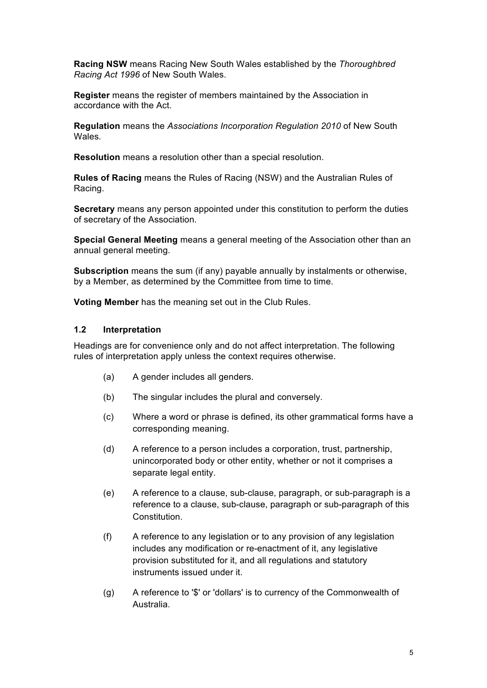**Racing NSW** means Racing New South Wales established by the *Thoroughbred Racing Act 1996* of New South Wales.

**Register** means the register of members maintained by the Association in accordance with the Act.

**Regulation** means the *Associations Incorporation Regulation 2010* of New South Wales*.*

**Resolution** means a resolution other than a special resolution.

**Rules of Racing** means the Rules of Racing (NSW) and the Australian Rules of Racing.

**Secretary** means any person appointed under this constitution to perform the duties of secretary of the Association.

**Special General Meeting** means a general meeting of the Association other than an annual general meeting.

**Subscription** means the sum (if any) payable annually by instalments or otherwise, by a Member, as determined by the Committee from time to time.

**Voting Member** has the meaning set out in the Club Rules.

#### **1.2 Interpretation**

Headings are for convenience only and do not affect interpretation. The following rules of interpretation apply unless the context requires otherwise.

- (a) A gender includes all genders.
- (b) The singular includes the plural and conversely.
- (c) Where a word or phrase is defined, its other grammatical forms have a corresponding meaning.
- (d) A reference to a person includes a corporation, trust, partnership, unincorporated body or other entity, whether or not it comprises a separate legal entity.
- (e) A reference to a clause, sub-clause, paragraph, or sub-paragraph is a reference to a clause, sub-clause, paragraph or sub-paragraph of this **Constitution**
- (f) A reference to any legislation or to any provision of any legislation includes any modification or re-enactment of it, any legislative provision substituted for it, and all regulations and statutory instruments issued under it.
- (g) A reference to '\$' or 'dollars' is to currency of the Commonwealth of Australia.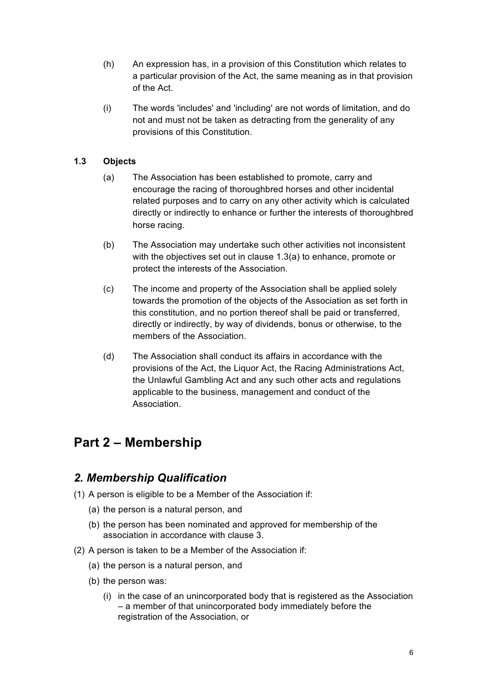- (h) An expression has, in a provision of this Constitution which relates to a particular provision of the Act, the same meaning as in that provision of the Act.
- (i) The words 'includes' and 'including' are not words of limitation, and do not and must not be taken as detracting from the generality of any provisions of this Constitution.

#### **1.3 Objects**

- (a) The Association has been established to promote, carry and encourage the racing of thoroughbred horses and other incidental related purposes and to carry on any other activity which is calculated directly or indirectly to enhance or further the interests of thoroughbred horse racing.
- (b) The Association may undertake such other activities not inconsistent with the objectives set out in clause 1.3(a) to enhance, promote or protect the interests of the Association.
- (c) The income and property of the Association shall be applied solely towards the promotion of the objects of the Association as set forth in this constitution, and no portion thereof shall be paid or transferred, directly or indirectly, by way of dividends, bonus or otherwise, to the members of the Association.
- (d) The Association shall conduct its affairs in accordance with the provisions of the Act, the Liquor Act, the Racing Administrations Act, the Unlawful Gambling Act and any such other acts and regulations applicable to the business, management and conduct of the Association.

# **Part 2 – Membership**

### *2. Membership Qualification*

- (1) A person is eligible to be a Member of the Association if:
	- (a) the person is a natural person, and
	- (b) the person has been nominated and approved for membership of the association in accordance with clause 3.
- (2) A person is taken to be a Member of the Association if:
	- (a) the person is a natural person, and
	- (b) the person was:
		- (i) in the case of an unincorporated body that is registered as the Association – a member of that unincorporated body immediately before the registration of the Association, or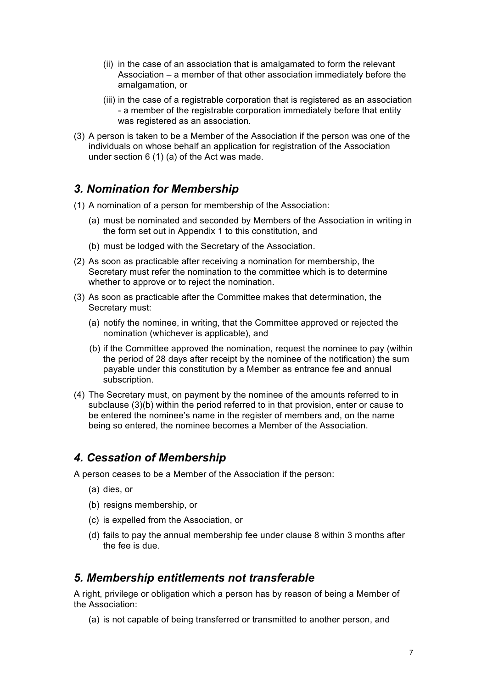- (ii) in the case of an association that is amalgamated to form the relevant Association – a member of that other association immediately before the amalgamation, or
- (iii) in the case of a registrable corporation that is registered as an association - a member of the registrable corporation immediately before that entity was registered as an association.
- (3) A person is taken to be a Member of the Association if the person was one of the individuals on whose behalf an application for registration of the Association under section 6 (1) (a) of the Act was made.

### *3. Nomination for Membership*

- (1) A nomination of a person for membership of the Association:
	- (a) must be nominated and seconded by Members of the Association in writing in the form set out in Appendix 1 to this constitution, and
	- (b) must be lodged with the Secretary of the Association.
- (2) As soon as practicable after receiving a nomination for membership, the Secretary must refer the nomination to the committee which is to determine whether to approve or to reject the nomination.
- (3) As soon as practicable after the Committee makes that determination, the Secretary must:
	- (a) notify the nominee, in writing, that the Committee approved or rejected the nomination (whichever is applicable), and
	- (b) if the Committee approved the nomination, request the nominee to pay (within the period of 28 days after receipt by the nominee of the notification) the sum payable under this constitution by a Member as entrance fee and annual subscription.
- (4) The Secretary must, on payment by the nominee of the amounts referred to in subclause (3)(b) within the period referred to in that provision, enter or cause to be entered the nominee's name in the register of members and, on the name being so entered, the nominee becomes a Member of the Association.

# *4. Cessation of Membership*

A person ceases to be a Member of the Association if the person:

- (a) dies, or
- (b) resigns membership, or
- (c) is expelled from the Association, or
- (d) fails to pay the annual membership fee under clause 8 within 3 months after the fee is due.

### *5. Membership entitlements not transferable*

A right, privilege or obligation which a person has by reason of being a Member of the Association:

(a) is not capable of being transferred or transmitted to another person, and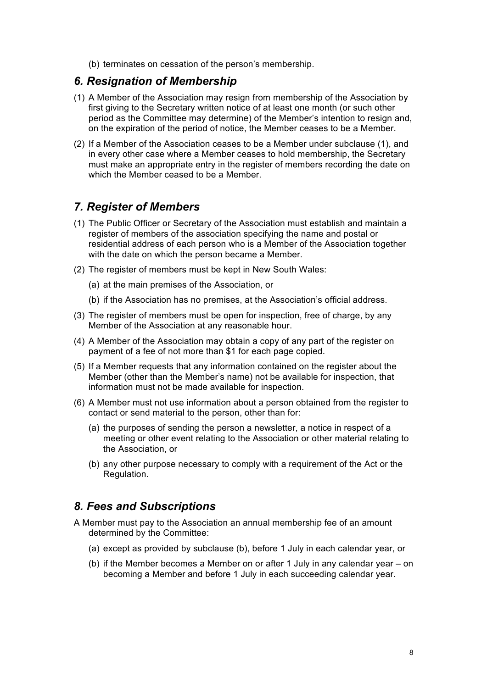(b) terminates on cessation of the person's membership.

#### *6. Resignation of Membership*

- (1) A Member of the Association may resign from membership of the Association by first giving to the Secretary written notice of at least one month (or such other period as the Committee may determine) of the Member's intention to resign and, on the expiration of the period of notice, the Member ceases to be a Member.
- (2) If a Member of the Association ceases to be a Member under subclause (1), and in every other case where a Member ceases to hold membership, the Secretary must make an appropriate entry in the register of members recording the date on which the Member ceased to be a Member.

#### *7. Register of Members*

- (1) The Public Officer or Secretary of the Association must establish and maintain a register of members of the association specifying the name and postal or residential address of each person who is a Member of the Association together with the date on which the person became a Member.
- (2) The register of members must be kept in New South Wales:
	- (a) at the main premises of the Association, or
	- (b) if the Association has no premises, at the Association's official address.
- (3) The register of members must be open for inspection, free of charge, by any Member of the Association at any reasonable hour.
- (4) A Member of the Association may obtain a copy of any part of the register on payment of a fee of not more than \$1 for each page copied.
- (5) If a Member requests that any information contained on the register about the Member (other than the Member's name) not be available for inspection, that information must not be made available for inspection.
- (6) A Member must not use information about a person obtained from the register to contact or send material to the person, other than for:
	- (a) the purposes of sending the person a newsletter, a notice in respect of a meeting or other event relating to the Association or other material relating to the Association, or
	- (b) any other purpose necessary to comply with a requirement of the Act or the Regulation.

#### *8. Fees and Subscriptions*

- A Member must pay to the Association an annual membership fee of an amount determined by the Committee:
	- (a) except as provided by subclause (b), before 1 July in each calendar year, or
	- (b) if the Member becomes a Member on or after 1 July in any calendar year on becoming a Member and before 1 July in each succeeding calendar year.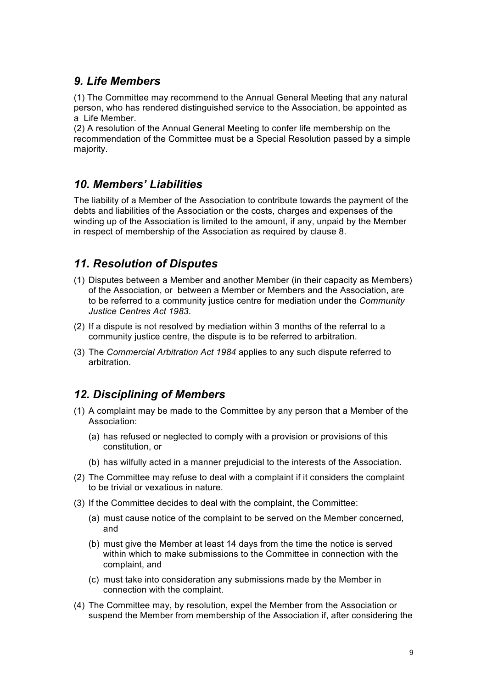# *9. Life Members*

(1) The Committee may recommend to the Annual General Meeting that any natural person, who has rendered distinguished service to the Association, be appointed as a Life Member.

(2) A resolution of the Annual General Meeting to confer life membership on the recommendation of the Committee must be a Special Resolution passed by a simple majority.

# *10. Members' Liabilities*

The liability of a Member of the Association to contribute towards the payment of the debts and liabilities of the Association or the costs, charges and expenses of the winding up of the Association is limited to the amount, if any, unpaid by the Member in respect of membership of the Association as required by clause 8.

# *11. Resolution of Disputes*

- (1) Disputes between a Member and another Member (in their capacity as Members) of the Association, or between a Member or Members and the Association, are to be referred to a community justice centre for mediation under the *Community Justice Centres Act 1983*.
- (2) If a dispute is not resolved by mediation within 3 months of the referral to a community justice centre, the dispute is to be referred to arbitration.
- (3) The *Commercial Arbitration Act 1984* applies to any such dispute referred to arbitration.

# *12. Disciplining of Members*

- (1) A complaint may be made to the Committee by any person that a Member of the Association:
	- (a) has refused or neglected to comply with a provision or provisions of this constitution, or
	- (b) has wilfully acted in a manner prejudicial to the interests of the Association.
- (2) The Committee may refuse to deal with a complaint if it considers the complaint to be trivial or vexatious in nature.
- (3) If the Committee decides to deal with the complaint, the Committee:
	- (a) must cause notice of the complaint to be served on the Member concerned, and
	- (b) must give the Member at least 14 days from the time the notice is served within which to make submissions to the Committee in connection with the complaint, and
	- (c) must take into consideration any submissions made by the Member in connection with the complaint.
- (4) The Committee may, by resolution, expel the Member from the Association or suspend the Member from membership of the Association if, after considering the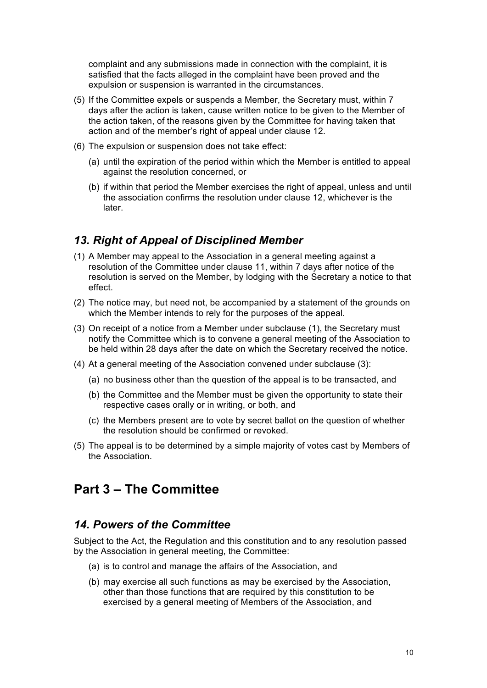complaint and any submissions made in connection with the complaint, it is satisfied that the facts alleged in the complaint have been proved and the expulsion or suspension is warranted in the circumstances.

- (5) If the Committee expels or suspends a Member, the Secretary must, within 7 days after the action is taken, cause written notice to be given to the Member of the action taken, of the reasons given by the Committee for having taken that action and of the member's right of appeal under clause 12.
- (6) The expulsion or suspension does not take effect:
	- (a) until the expiration of the period within which the Member is entitled to appeal against the resolution concerned, or
	- (b) if within that period the Member exercises the right of appeal, unless and until the association confirms the resolution under clause 12, whichever is the later.

#### *13. Right of Appeal of Disciplined Member*

- (1) A Member may appeal to the Association in a general meeting against a resolution of the Committee under clause 11, within 7 days after notice of the resolution is served on the Member, by lodging with the Secretary a notice to that effect.
- (2) The notice may, but need not, be accompanied by a statement of the grounds on which the Member intends to rely for the purposes of the appeal.
- (3) On receipt of a notice from a Member under subclause (1), the Secretary must notify the Committee which is to convene a general meeting of the Association to be held within 28 days after the date on which the Secretary received the notice.
- (4) At a general meeting of the Association convened under subclause (3):
	- (a) no business other than the question of the appeal is to be transacted, and
	- (b) the Committee and the Member must be given the opportunity to state their respective cases orally or in writing, or both, and
	- (c) the Members present are to vote by secret ballot on the question of whether the resolution should be confirmed or revoked.
- (5) The appeal is to be determined by a simple majority of votes cast by Members of the Association.

# **Part 3 – The Committee**

#### *14. Powers of the Committee*

Subject to the Act, the Regulation and this constitution and to any resolution passed by the Association in general meeting, the Committee:

- (a) is to control and manage the affairs of the Association, and
- (b) may exercise all such functions as may be exercised by the Association, other than those functions that are required by this constitution to be exercised by a general meeting of Members of the Association, and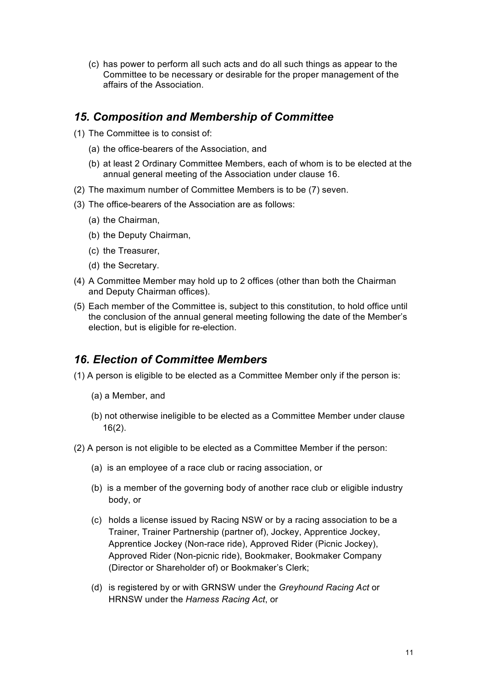(c) has power to perform all such acts and do all such things as appear to the Committee to be necessary or desirable for the proper management of the affairs of the Association.

### *15. Composition and Membership of Committee*

- (1) The Committee is to consist of:
	- (a) the office-bearers of the Association, and
	- (b) at least 2 Ordinary Committee Members, each of whom is to be elected at the annual general meeting of the Association under clause 16.
- (2) The maximum number of Committee Members is to be (7) seven.
- (3) The office-bearers of the Association are as follows:
	- (a) the Chairman,
	- (b) the Deputy Chairman,
	- (c) the Treasurer,
	- (d) the Secretary.
- (4) A Committee Member may hold up to 2 offices (other than both the Chairman and Deputy Chairman offices).
- (5) Each member of the Committee is, subject to this constitution, to hold office until the conclusion of the annual general meeting following the date of the Member's election, but is eligible for re-election.

# *16. Election of Committee Members*

(1) A person is eligible to be elected as a Committee Member only if the person is:

- (a) a Member, and
- (b) not otherwise ineligible to be elected as a Committee Member under clause 16(2).
- (2) A person is not eligible to be elected as a Committee Member if the person:
	- (a) is an employee of a race club or racing association, or
	- (b) is a member of the governing body of another race club or eligible industry body, or
	- (c) holds a license issued by Racing NSW or by a racing association to be a Trainer, Trainer Partnership (partner of), Jockey, Apprentice Jockey, Apprentice Jockey (Non-race ride), Approved Rider (Picnic Jockey), Approved Rider (Non-picnic ride), Bookmaker, Bookmaker Company (Director or Shareholder of) or Bookmaker's Clerk;
	- (d) is registered by or with GRNSW under the *Greyhound Racing Act* or HRNSW under the *Harness Racing Act*, or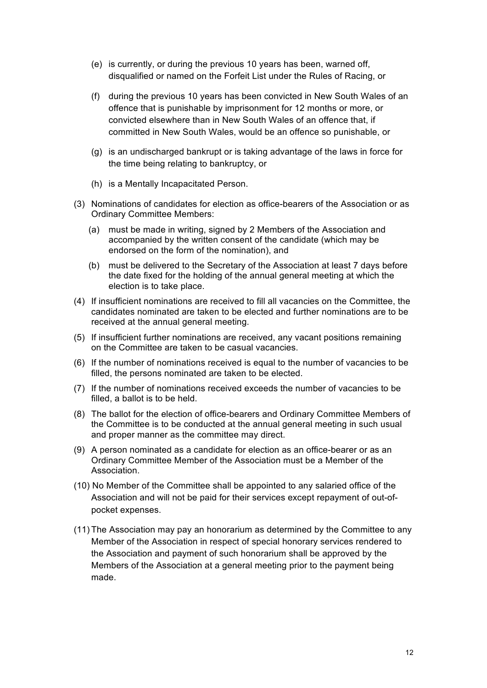- (e) is currently, or during the previous 10 years has been, warned off, disqualified or named on the Forfeit List under the Rules of Racing, or
- (f) during the previous 10 years has been convicted in New South Wales of an offence that is punishable by imprisonment for 12 months or more, or convicted elsewhere than in New South Wales of an offence that, if committed in New South Wales, would be an offence so punishable, or
- (g) is an undischarged bankrupt or is taking advantage of the laws in force for the time being relating to bankruptcy, or
- (h) is a Mentally Incapacitated Person.
- (3) Nominations of candidates for election as office-bearers of the Association or as Ordinary Committee Members:
	- (a) must be made in writing, signed by 2 Members of the Association and accompanied by the written consent of the candidate (which may be endorsed on the form of the nomination), and
	- (b) must be delivered to the Secretary of the Association at least 7 days before the date fixed for the holding of the annual general meeting at which the election is to take place.
- (4) If insufficient nominations are received to fill all vacancies on the Committee, the candidates nominated are taken to be elected and further nominations are to be received at the annual general meeting.
- (5) If insufficient further nominations are received, any vacant positions remaining on the Committee are taken to be casual vacancies.
- (6) If the number of nominations received is equal to the number of vacancies to be filled, the persons nominated are taken to be elected.
- (7) If the number of nominations received exceeds the number of vacancies to be filled, a ballot is to be held.
- (8) The ballot for the election of office-bearers and Ordinary Committee Members of the Committee is to be conducted at the annual general meeting in such usual and proper manner as the committee may direct.
- (9) A person nominated as a candidate for election as an office-bearer or as an Ordinary Committee Member of the Association must be a Member of the Association.
- (10) No Member of the Committee shall be appointed to any salaried office of the Association and will not be paid for their services except repayment of out-ofpocket expenses.
- (11) The Association may pay an honorarium as determined by the Committee to any Member of the Association in respect of special honorary services rendered to the Association and payment of such honorarium shall be approved by the Members of the Association at a general meeting prior to the payment being made.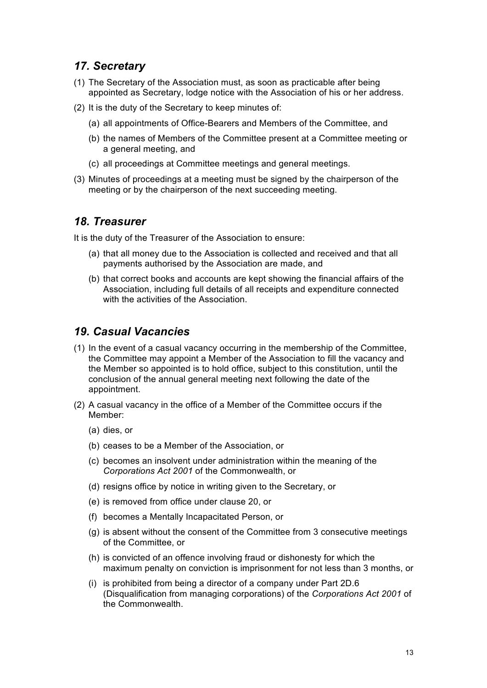# *17. Secretary*

- (1) The Secretary of the Association must, as soon as practicable after being appointed as Secretary, lodge notice with the Association of his or her address.
- (2) It is the duty of the Secretary to keep minutes of:
	- (a) all appointments of Office-Bearers and Members of the Committee, and
	- (b) the names of Members of the Committee present at a Committee meeting or a general meeting, and
	- (c) all proceedings at Committee meetings and general meetings.
- (3) Minutes of proceedings at a meeting must be signed by the chairperson of the meeting or by the chairperson of the next succeeding meeting.

#### *18. Treasurer*

It is the duty of the Treasurer of the Association to ensure:

- (a) that all money due to the Association is collected and received and that all payments authorised by the Association are made, and
- (b) that correct books and accounts are kept showing the financial affairs of the Association, including full details of all receipts and expenditure connected with the activities of the Association.

# *19. Casual Vacancies*

- (1) In the event of a casual vacancy occurring in the membership of the Committee, the Committee may appoint a Member of the Association to fill the vacancy and the Member so appointed is to hold office, subject to this constitution, until the conclusion of the annual general meeting next following the date of the appointment.
- (2) A casual vacancy in the office of a Member of the Committee occurs if the Member:
	- (a) dies, or
	- (b) ceases to be a Member of the Association, or
	- (c) becomes an insolvent under administration within the meaning of the *Corporations Act 2001* of the Commonwealth, or
	- (d) resigns office by notice in writing given to the Secretary, or
	- (e) is removed from office under clause 20, or
	- (f) becomes a Mentally Incapacitated Person, or
	- (g) is absent without the consent of the Committee from 3 consecutive meetings of the Committee, or
	- (h) is convicted of an offence involving fraud or dishonesty for which the maximum penalty on conviction is imprisonment for not less than 3 months, or
	- (i) is prohibited from being a director of a company under Part 2D.6 (Disqualification from managing corporations) of the *Corporations Act 2001* of the Commonwealth.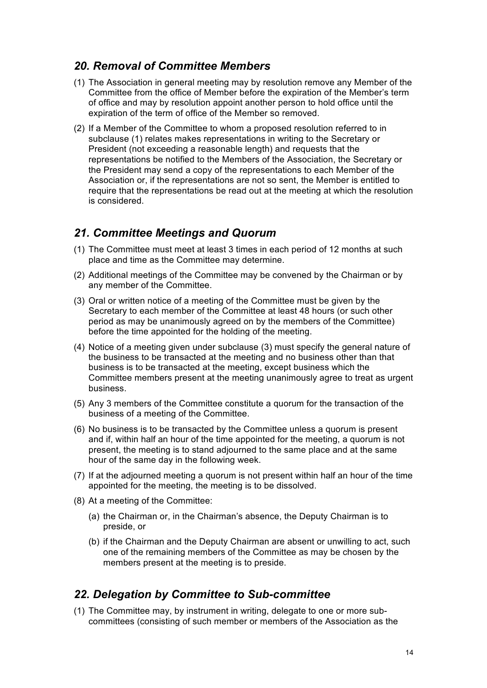#### *20. Removal of Committee Members*

- (1) The Association in general meeting may by resolution remove any Member of the Committee from the office of Member before the expiration of the Member's term of office and may by resolution appoint another person to hold office until the expiration of the term of office of the Member so removed.
- (2) If a Member of the Committee to whom a proposed resolution referred to in subclause (1) relates makes representations in writing to the Secretary or President (not exceeding a reasonable length) and requests that the representations be notified to the Members of the Association, the Secretary or the President may send a copy of the representations to each Member of the Association or, if the representations are not so sent, the Member is entitled to require that the representations be read out at the meeting at which the resolution is considered.

#### *21. Committee Meetings and Quorum*

- (1) The Committee must meet at least 3 times in each period of 12 months at such place and time as the Committee may determine.
- (2) Additional meetings of the Committee may be convened by the Chairman or by any member of the Committee.
- (3) Oral or written notice of a meeting of the Committee must be given by the Secretary to each member of the Committee at least 48 hours (or such other period as may be unanimously agreed on by the members of the Committee) before the time appointed for the holding of the meeting.
- (4) Notice of a meeting given under subclause (3) must specify the general nature of the business to be transacted at the meeting and no business other than that business is to be transacted at the meeting, except business which the Committee members present at the meeting unanimously agree to treat as urgent business.
- (5) Any 3 members of the Committee constitute a quorum for the transaction of the business of a meeting of the Committee.
- (6) No business is to be transacted by the Committee unless a quorum is present and if, within half an hour of the time appointed for the meeting, a quorum is not present, the meeting is to stand adjourned to the same place and at the same hour of the same day in the following week.
- (7) If at the adjourned meeting a quorum is not present within half an hour of the time appointed for the meeting, the meeting is to be dissolved.
- (8) At a meeting of the Committee:
	- (a) the Chairman or, in the Chairman's absence, the Deputy Chairman is to preside, or
	- (b) if the Chairman and the Deputy Chairman are absent or unwilling to act, such one of the remaining members of the Committee as may be chosen by the members present at the meeting is to preside.

#### *22. Delegation by Committee to Sub-committee*

(1) The Committee may, by instrument in writing, delegate to one or more subcommittees (consisting of such member or members of the Association as the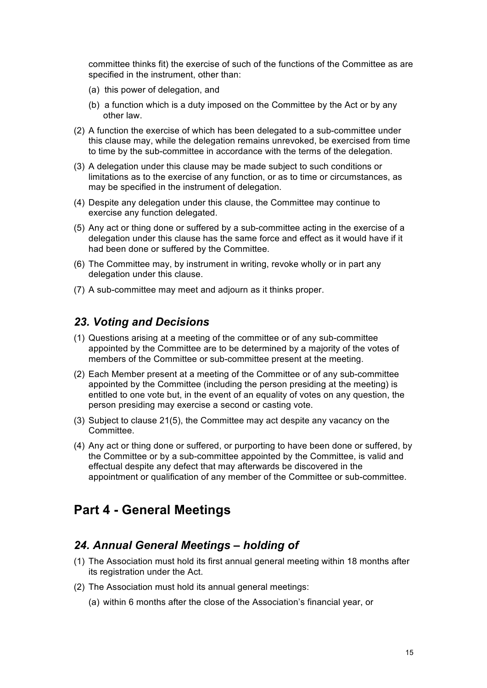committee thinks fit) the exercise of such of the functions of the Committee as are specified in the instrument, other than:

- (a) this power of delegation, and
- (b) a function which is a duty imposed on the Committee by the Act or by any other law.
- (2) A function the exercise of which has been delegated to a sub-committee under this clause may, while the delegation remains unrevoked, be exercised from time to time by the sub-committee in accordance with the terms of the delegation.
- (3) A delegation under this clause may be made subject to such conditions or limitations as to the exercise of any function, or as to time or circumstances, as may be specified in the instrument of delegation.
- (4) Despite any delegation under this clause, the Committee may continue to exercise any function delegated.
- (5) Any act or thing done or suffered by a sub-committee acting in the exercise of a delegation under this clause has the same force and effect as it would have if it had been done or suffered by the Committee.
- (6) The Committee may, by instrument in writing, revoke wholly or in part any delegation under this clause.
- (7) A sub-committee may meet and adjourn as it thinks proper.

#### *23. Voting and Decisions*

- (1) Questions arising at a meeting of the committee or of any sub-committee appointed by the Committee are to be determined by a majority of the votes of members of the Committee or sub-committee present at the meeting.
- (2) Each Member present at a meeting of the Committee or of any sub-committee appointed by the Committee (including the person presiding at the meeting) is entitled to one vote but, in the event of an equality of votes on any question, the person presiding may exercise a second or casting vote.
- (3) Subject to clause 21(5), the Committee may act despite any vacancy on the Committee.
- (4) Any act or thing done or suffered, or purporting to have been done or suffered, by the Committee or by a sub-committee appointed by the Committee, is valid and effectual despite any defect that may afterwards be discovered in the appointment or qualification of any member of the Committee or sub-committee.

# **Part 4 - General Meetings**

#### *24. Annual General Meetings – holding of*

- (1) The Association must hold its first annual general meeting within 18 months after its registration under the Act.
- (2) The Association must hold its annual general meetings:
	- (a) within 6 months after the close of the Association's financial year, or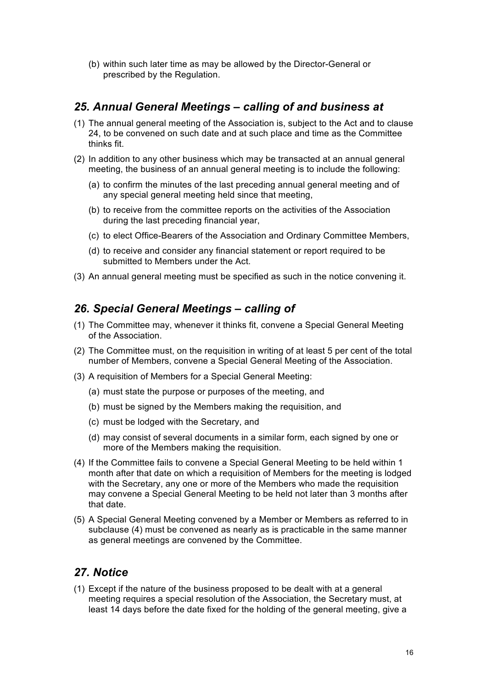(b) within such later time as may be allowed by the Director-General or prescribed by the Regulation.

## *25. Annual General Meetings – calling of and business at*

- (1) The annual general meeting of the Association is, subject to the Act and to clause 24, to be convened on such date and at such place and time as the Committee thinks fit.
- (2) In addition to any other business which may be transacted at an annual general meeting, the business of an annual general meeting is to include the following:
	- (a) to confirm the minutes of the last preceding annual general meeting and of any special general meeting held since that meeting,
	- (b) to receive from the committee reports on the activities of the Association during the last preceding financial year,
	- (c) to elect Office-Bearers of the Association and Ordinary Committee Members,
	- (d) to receive and consider any financial statement or report required to be submitted to Members under the Act.
- (3) An annual general meeting must be specified as such in the notice convening it.

### *26. Special General Meetings – calling of*

- (1) The Committee may, whenever it thinks fit, convene a Special General Meeting of the Association.
- (2) The Committee must, on the requisition in writing of at least 5 per cent of the total number of Members, convene a Special General Meeting of the Association.
- (3) A requisition of Members for a Special General Meeting:
	- (a) must state the purpose or purposes of the meeting, and
	- (b) must be signed by the Members making the requisition, and
	- (c) must be lodged with the Secretary, and
	- (d) may consist of several documents in a similar form, each signed by one or more of the Members making the requisition.
- (4) If the Committee fails to convene a Special General Meeting to be held within 1 month after that date on which a requisition of Members for the meeting is lodged with the Secretary, any one or more of the Members who made the requisition may convene a Special General Meeting to be held not later than 3 months after that date.
- (5) A Special General Meeting convened by a Member or Members as referred to in subclause (4) must be convened as nearly as is practicable in the same manner as general meetings are convened by the Committee.

# *27. Notice*

(1) Except if the nature of the business proposed to be dealt with at a general meeting requires a special resolution of the Association, the Secretary must, at least 14 days before the date fixed for the holding of the general meeting, give a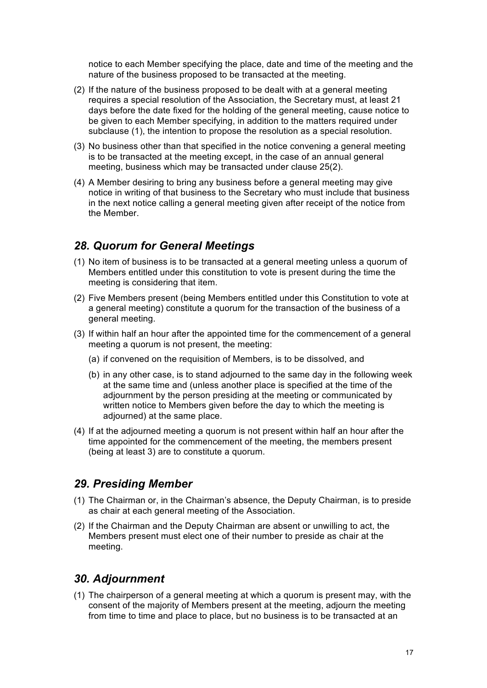notice to each Member specifying the place, date and time of the meeting and the nature of the business proposed to be transacted at the meeting.

- (2) If the nature of the business proposed to be dealt with at a general meeting requires a special resolution of the Association, the Secretary must, at least 21 days before the date fixed for the holding of the general meeting, cause notice to be given to each Member specifying, in addition to the matters required under subclause (1), the intention to propose the resolution as a special resolution.
- (3) No business other than that specified in the notice convening a general meeting is to be transacted at the meeting except, in the case of an annual general meeting, business which may be transacted under clause 25(2).
- (4) A Member desiring to bring any business before a general meeting may give notice in writing of that business to the Secretary who must include that business in the next notice calling a general meeting given after receipt of the notice from the Member.

#### *28. Quorum for General Meetings*

- (1) No item of business is to be transacted at a general meeting unless a quorum of Members entitled under this constitution to vote is present during the time the meeting is considering that item.
- (2) Five Members present (being Members entitled under this Constitution to vote at a general meeting) constitute a quorum for the transaction of the business of a general meeting.
- (3) If within half an hour after the appointed time for the commencement of a general meeting a quorum is not present, the meeting:
	- (a) if convened on the requisition of Members, is to be dissolved, and
	- (b) in any other case, is to stand adjourned to the same day in the following week at the same time and (unless another place is specified at the time of the adjournment by the person presiding at the meeting or communicated by written notice to Members given before the day to which the meeting is adjourned) at the same place.
- (4) If at the adjourned meeting a quorum is not present within half an hour after the time appointed for the commencement of the meeting, the members present (being at least 3) are to constitute a quorum.

### *29. Presiding Member*

- (1) The Chairman or, in the Chairman's absence, the Deputy Chairman, is to preside as chair at each general meeting of the Association.
- (2) If the Chairman and the Deputy Chairman are absent or unwilling to act, the Members present must elect one of their number to preside as chair at the meeting.

### *30. Adjournment*

(1) The chairperson of a general meeting at which a quorum is present may, with the consent of the majority of Members present at the meeting, adjourn the meeting from time to time and place to place, but no business is to be transacted at an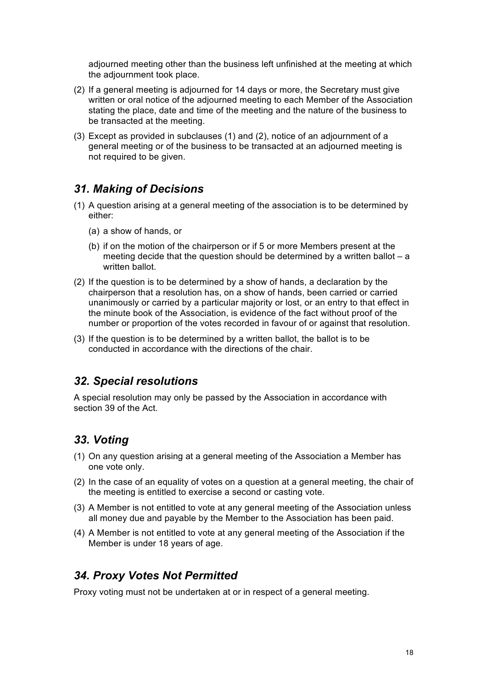adjourned meeting other than the business left unfinished at the meeting at which the adjournment took place.

- (2) If a general meeting is adjourned for 14 days or more, the Secretary must give written or oral notice of the adjourned meeting to each Member of the Association stating the place, date and time of the meeting and the nature of the business to be transacted at the meeting.
- (3) Except as provided in subclauses (1) and (2), notice of an adjournment of a general meeting or of the business to be transacted at an adjourned meeting is not required to be given.

# *31. Making of Decisions*

- (1) A question arising at a general meeting of the association is to be determined by either:
	- (a) a show of hands, or
	- (b) if on the motion of the chairperson or if 5 or more Members present at the meeting decide that the question should be determined by a written ballot  $- a$ written ballot.
- (2) If the question is to be determined by a show of hands, a declaration by the chairperson that a resolution has, on a show of hands, been carried or carried unanimously or carried by a particular majority or lost, or an entry to that effect in the minute book of the Association, is evidence of the fact without proof of the number or proportion of the votes recorded in favour of or against that resolution.
- (3) If the question is to be determined by a written ballot, the ballot is to be conducted in accordance with the directions of the chair.

### *32. Special resolutions*

A special resolution may only be passed by the Association in accordance with section 39 of the Act.

# *33. Voting*

- (1) On any question arising at a general meeting of the Association a Member has one vote only.
- (2) In the case of an equality of votes on a question at a general meeting, the chair of the meeting is entitled to exercise a second or casting vote.
- (3) A Member is not entitled to vote at any general meeting of the Association unless all money due and payable by the Member to the Association has been paid.
- (4) A Member is not entitled to vote at any general meeting of the Association if the Member is under 18 years of age.

# *34. Proxy Votes Not Permitted*

Proxy voting must not be undertaken at or in respect of a general meeting.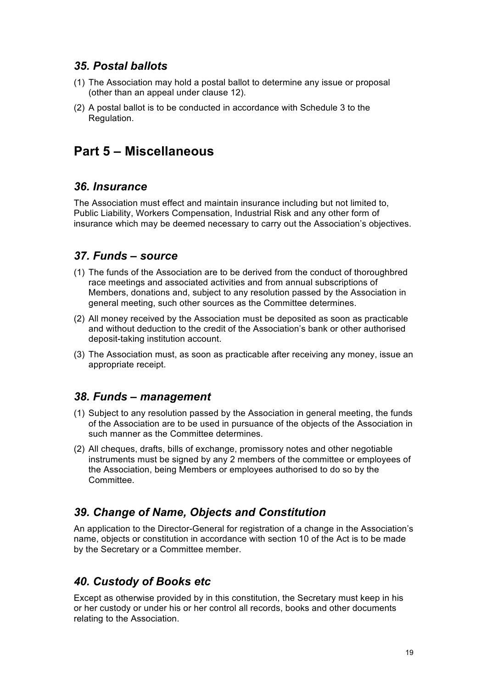### *35. Postal ballots*

- (1) The Association may hold a postal ballot to determine any issue or proposal (other than an appeal under clause 12).
- (2) A postal ballot is to be conducted in accordance with Schedule 3 to the Regulation.

# **Part 5 – Miscellaneous**

# *36. Insurance*

The Association must effect and maintain insurance including but not limited to, Public Liability, Workers Compensation, Industrial Risk and any other form of insurance which may be deemed necessary to carry out the Association's objectives.

# *37. Funds – source*

- (1) The funds of the Association are to be derived from the conduct of thoroughbred race meetings and associated activities and from annual subscriptions of Members, donations and, subject to any resolution passed by the Association in general meeting, such other sources as the Committee determines.
- (2) All money received by the Association must be deposited as soon as practicable and without deduction to the credit of the Association's bank or other authorised deposit-taking institution account.
- (3) The Association must, as soon as practicable after receiving any money, issue an appropriate receipt.

# *38. Funds – management*

- (1) Subject to any resolution passed by the Association in general meeting, the funds of the Association are to be used in pursuance of the objects of the Association in such manner as the Committee determines.
- (2) All cheques, drafts, bills of exchange, promissory notes and other negotiable instruments must be signed by any 2 members of the committee or employees of the Association, being Members or employees authorised to do so by the **Committee**

# *39. Change of Name, Objects and Constitution*

An application to the Director-General for registration of a change in the Association's name, objects or constitution in accordance with section 10 of the Act is to be made by the Secretary or a Committee member.

# *40. Custody of Books etc*

Except as otherwise provided by in this constitution, the Secretary must keep in his or her custody or under his or her control all records, books and other documents relating to the Association.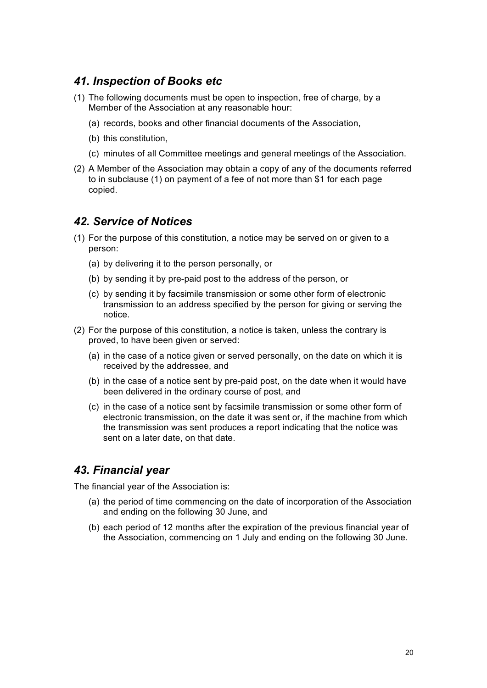#### *41. Inspection of Books etc*

- (1) The following documents must be open to inspection, free of charge, by a Member of the Association at any reasonable hour:
	- (a) records, books and other financial documents of the Association,
	- (b) this constitution,
	- (c) minutes of all Committee meetings and general meetings of the Association.
- (2) A Member of the Association may obtain a copy of any of the documents referred to in subclause (1) on payment of a fee of not more than \$1 for each page copied.

#### *42. Service of Notices*

- (1) For the purpose of this constitution, a notice may be served on or given to a person:
	- (a) by delivering it to the person personally, or
	- (b) by sending it by pre-paid post to the address of the person, or
	- (c) by sending it by facsimile transmission or some other form of electronic transmission to an address specified by the person for giving or serving the notice.
- (2) For the purpose of this constitution, a notice is taken, unless the contrary is proved, to have been given or served:
	- (a) in the case of a notice given or served personally, on the date on which it is received by the addressee, and
	- (b) in the case of a notice sent by pre-paid post, on the date when it would have been delivered in the ordinary course of post, and
	- (c) in the case of a notice sent by facsimile transmission or some other form of electronic transmission, on the date it was sent or, if the machine from which the transmission was sent produces a report indicating that the notice was sent on a later date, on that date.

#### *43. Financial year*

The financial year of the Association is:

- (a) the period of time commencing on the date of incorporation of the Association and ending on the following 30 June, and
- (b) each period of 12 months after the expiration of the previous financial year of the Association, commencing on 1 July and ending on the following 30 June.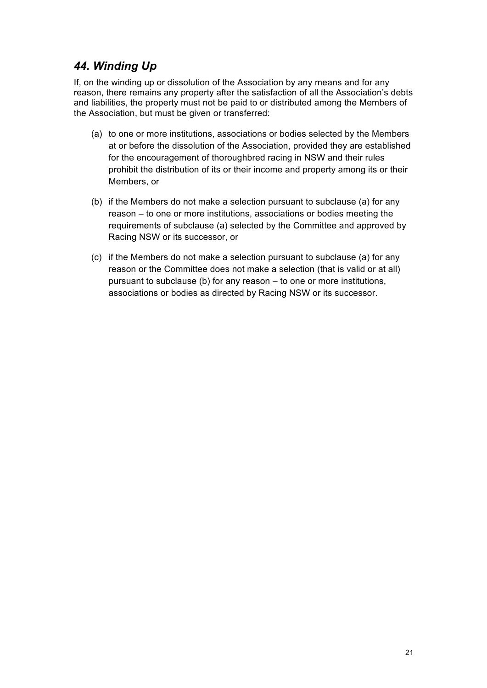# *44. Winding Up*

If, on the winding up or dissolution of the Association by any means and for any reason, there remains any property after the satisfaction of all the Association's debts and liabilities, the property must not be paid to or distributed among the Members of the Association, but must be given or transferred:

- (a) to one or more institutions, associations or bodies selected by the Members at or before the dissolution of the Association, provided they are established for the encouragement of thoroughbred racing in NSW and their rules prohibit the distribution of its or their income and property among its or their Members, or
- (b) if the Members do not make a selection pursuant to subclause (a) for any reason – to one or more institutions, associations or bodies meeting the requirements of subclause (a) selected by the Committee and approved by Racing NSW or its successor, or
- (c) if the Members do not make a selection pursuant to subclause (a) for any reason or the Committee does not make a selection (that is valid or at all) pursuant to subclause (b) for any reason – to one or more institutions, associations or bodies as directed by Racing NSW or its successor.